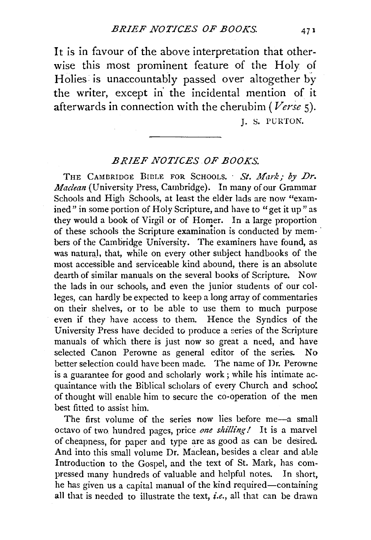It is in favour of the above interpretation that otherwise this most prominent feature of the Holy of Holies is unaccountably passed over altogether by the writer, except in the incidental mention of it afterwards in connection with the cherubim *(Verse* 5).

J. S. PURTON.

## *BRIEF NOTICES.OF BOOKS.*

THE CAMBRIDGE BIBLE FOR SCHOOLS. St. Mark: by Dr. *Maclean* (University Press, Cambridge). In many of our Grammar Schools and High Schools, at least the elder lads are now "examined" in some portion of Holy Scripture, and have to "get it up" as they would a book of Virgil or of Homer. In a large proportion of these schools the Scripture examination is conducted by mem- · bers of the Cambridge University. The examiners have found, as was natural, that, while on every other subject handbooks of the most accessible and serviceable kind abound, there is an absolute dearth of similar manuals on the several books of Scripture. Now the lads in our schools, and even the junior students of our colleges, can hardly be expected to keep a long array of commentaries on their shelves, or to be able to use them to much purpose even if they have access to them. Hence the Syndics of the University Press have decided to produce a series of the Scripture manuals of which there is just now so great a need, and have selected Canon Perowne as general editor of the series. No better selection could have been made. The name of Dr. Perowne is a guarantee for good and scholarly work ; while his intimate acquaintance with the Biblical scholars of every Church and schoo'. of thought will enable him to secure the co-operation of the men best fitted to assist him.

The first volume of the series now lies before me-a small octavo of two. hundred pages, price *one sltilling I* It is a marvel of cheapness, for paper and type are as good as can be desired. And into this small volume Dr. Maclean, besides a clear and able Introduction to the Gospel, and the text of St. Mark, has compressed many hundreds of valuable and helpful notes. In short, he has given us a capital manual of the kind required-containing all that is needed to illustrate the text, *i.e.,* all that can be drawn